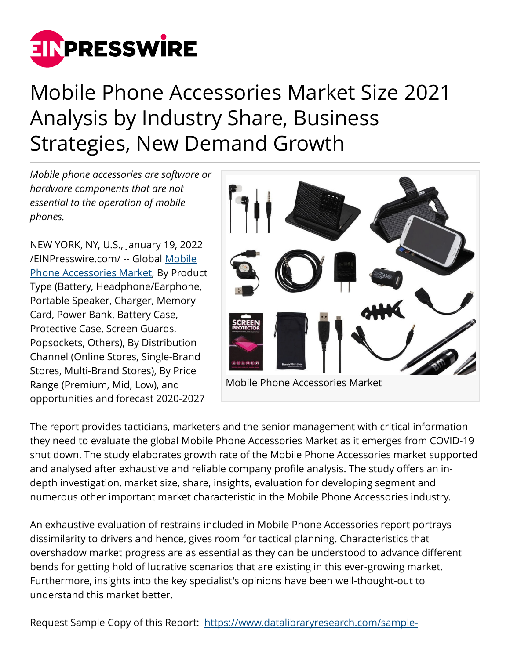

# Mobile Phone Accessories Market Size 2021 Analysis by Industry Share, Business Strategies, New Demand Growth

*Mobile phone accessories are software or hardware components that are not essential to the operation of mobile phones.*

NEW YORK, NY, U.S., January 19, 2022 [/EINPresswire.com/](http://www.einpresswire.com) -- Global [Mobile](https://www.datalibraryresearch.com/reports/mobile-phone-accessories-market-2420) [Phone Accessories Market](https://www.datalibraryresearch.com/reports/mobile-phone-accessories-market-2420), By Product Type (Battery, Headphone/Earphone, Portable Speaker, Charger, Memory Card, Power Bank, Battery Case, Protective Case, Screen Guards, Popsockets, Others), By Distribution Channel (Online Stores, Single-Brand Stores, Multi-Brand Stores), By Price Range (Premium, Mid, Low), and opportunities and forecast 2020-2027



The report provides tacticians, marketers and the senior management with critical information they need to evaluate the global Mobile Phone Accessories Market as it emerges from COVID-19 shut down. The study elaborates growth rate of the Mobile Phone Accessories market supported and analysed after exhaustive and reliable company profile analysis. The study offers an indepth investigation, market size, share, insights, evaluation for developing segment and numerous other important market characteristic in the Mobile Phone Accessories industry.

An exhaustive evaluation of restrains included in Mobile Phone Accessories report portrays dissimilarity to drivers and hence, gives room for tactical planning. Characteristics that overshadow market progress are as essential as they can be understood to advance different bends for getting hold of lucrative scenarios that are existing in this ever-growing market. Furthermore, insights into the key specialist's opinions have been well-thought-out to understand this market better.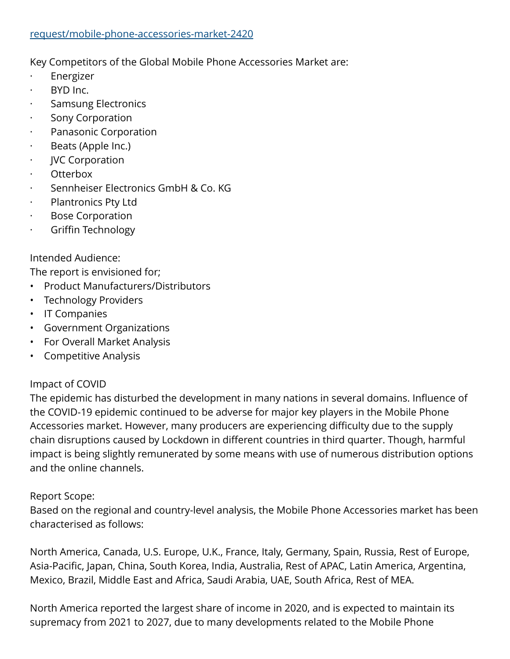#### [request/mobile-phone-accessories-market-2420](https://www.datalibraryresearch.com/sample-request/mobile-phone-accessories-market-2420)

Key Competitors of the Global Mobile Phone Accessories Market are:

- **Energizer**
- $\cdot$  BYD Inc.
- · Samsung Electronics
- · Sony Corporation
- · Panasonic Corporation
- · Beats (Apple Inc.)
- · JVC Corporation
- Otterbox
- Sennheiser Electronics GmbH & Co. KG
- Plantronics Pty Ltd
- · Bose Corporation
- · Griffin Technology

## Intended Audience:

The report is envisioned for;

- Product Manufacturers/Distributors
- Technology Providers
- IT Companies
- Government Organizations
- For Overall Market Analysis
- Competitive Analysis

# Impact of COVID

The epidemic has disturbed the development in many nations in several domains. Influence of the COVID-19 epidemic continued to be adverse for major key players in the Mobile Phone Accessories market. However, many producers are experiencing difficulty due to the supply chain disruptions caused by Lockdown in different countries in third quarter. Though, harmful impact is being slightly remunerated by some means with use of numerous distribution options and the online channels.

### Report Scope:

Based on the regional and country-level analysis, the Mobile Phone Accessories market has been characterised as follows:

North America, Canada, U.S. Europe, U.K., France, Italy, Germany, Spain, Russia, Rest of Europe, Asia-Pacific, Japan, China, South Korea, India, Australia, Rest of APAC, Latin America, Argentina, Mexico, Brazil, Middle East and Africa, Saudi Arabia, UAE, South Africa, Rest of MEA.

North America reported the largest share of income in 2020, and is expected to maintain its supremacy from 2021 to 2027, due to many developments related to the Mobile Phone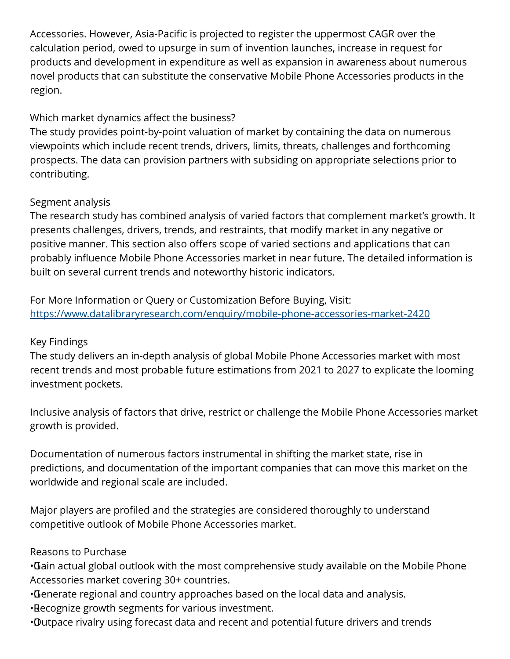Accessories. However, Asia-Pacific is projected to register the uppermost CAGR over the calculation period, owed to upsurge in sum of invention launches, increase in request for products and development in expenditure as well as expansion in awareness about numerous novel products that can substitute the conservative Mobile Phone Accessories products in the region.

# Which market dynamics affect the business?

The study provides point-by-point valuation of market by containing the data on numerous viewpoints which include recent trends, drivers, limits, threats, challenges and forthcoming prospects. The data can provision partners with subsiding on appropriate selections prior to contributing.

# Segment analysis

The research study has combined analysis of varied factors that complement market's growth. It presents challenges, drivers, trends, and restraints, that modify market in any negative or positive manner. This section also offers scope of varied sections and applications that can probably influence Mobile Phone Accessories market in near future. The detailed information is built on several current trends and noteworthy historic indicators.

For More Information or Query or Customization Before Buying, Visit: <https://www.datalibraryresearch.com/enquiry/mobile-phone-accessories-market-2420>

# Key Findings

The study delivers an in-depth analysis of global Mobile Phone Accessories market with most recent trends and most probable future estimations from 2021 to 2027 to explicate the looming investment pockets.

Inclusive analysis of factors that drive, restrict or challenge the Mobile Phone Accessories market growth is provided.

Documentation of numerous factors instrumental in shifting the market state, rise in predictions, and documentation of the important companies that can move this market on the worldwide and regional scale are included.

Major players are profiled and the strategies are considered thoroughly to understand competitive outlook of Mobile Phone Accessories market.

# Reasons to Purchase

• Gain actual global outlook with the most comprehensive study available on the Mobile Phone Accessories market covering 30+ countries.

- • Generate regional and country approaches based on the local data and analysis.
- • Recognize growth segments for various investment.
- • Outpace rivalry using forecast data and recent and potential future drivers and trends